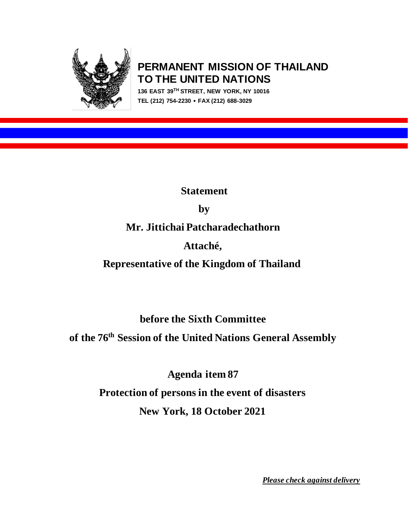

# **PERMANENT MISSION OF THAILAND TO THE UNITED NATIONS**

**136 EAST 39TH STREET, NEW YORK, NY 10016 TEL (212) 754-2230 FAX (212) 688-3029**

**Statement** 

**by** 

**Mr. Jittichai Patcharadechathorn**

# **Attaché,**

# **Representative of the Kingdom of Thailand**

**before the Sixth Committee**

**of the 76th Session of the United Nations General Assembly**

**Agenda item 87 Protection of persons in the event of disasters New York, 18 October 2021**

*Please check against delivery*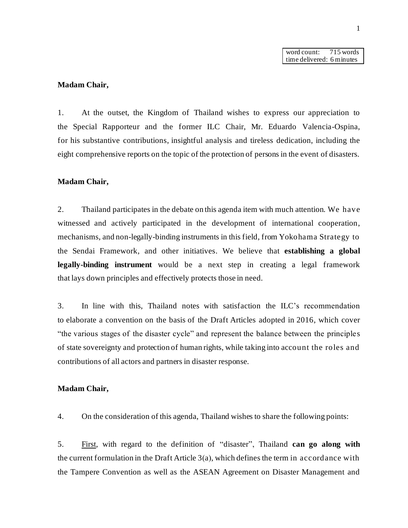word count: 715 words time delivered: 6 minutes

### **Madam Chair,**

1. At the outset, the Kingdom of Thailand wishes to express our appreciation to the Special Rapporteur and the former ILC Chair, Mr. Eduardo Valencia-Ospina, for his substantive contributions, insightful analysis and tireless dedication, including the eight comprehensive reports on the topic of the protection of persons in the event of disasters.

#### **Madam Chair,**

2. Thailand participates in the debate on this agenda item with much attention. We have witnessed and actively participated in the development of international cooperation, mechanisms, and non-legally-binding instruments in this field, from Yokohama Strategy to the Sendai Framework, and other initiatives. We believe that **establishing a global legally-binding instrument** would be a next step in creating a legal framework that lays down principles and effectively protects those in need.

3. In line with this, Thailand notes with satisfaction the ILC's recommendation to elaborate a convention on the basis of the Draft Articles adopted in 2016, which cover "the various stages of the disaster cycle" and represent the balance between the principles of state sovereignty and protection of human rights, while taking into account the roles and contributions of all actors and partners in disaster response.

### **Madam Chair,**

4. On the consideration of this agenda, Thailand wishes to share the following points:

5. First, with regard to the definition of "disaster", Thailand **can go along with** the current formulation in the Draft Article 3(a), which defines the term in accordance with the Tampere Convention as well as the ASEAN Agreement on Disaster Management and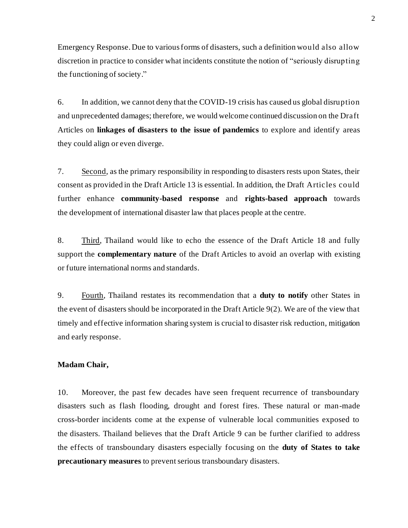Emergency Response. Due to various forms of disasters, such a definition would also allow discretion in practice to consider what incidents constitute the notion of "seriously disrupting the functioning of society."

6. In addition, we cannot deny that the COVID-19 crisis has caused us global disruption and unprecedented damages; therefore, we would welcome continued discussion on the Draft Articles on **linkages of disasters to the issue of pandemics** to explore and identify areas they could align or even diverge.

7. Second, as the primary responsibility in responding to disasters rests upon States, their consent as provided in the Draft Article 13 is essential. In addition, the Draft Articles could further enhance **community-based response** and **rights-based approach** towards the development of international disaster law that places people at the centre.

8. Third, Thailand would like to echo the essence of the Draft Article 18 and fully support the **complementary nature** of the Draft Articles to avoid an overlap with existing or future international norms and standards.

9. Fourth, Thailand restates its recommendation that a **duty to notify** other States in the event of disasters should be incorporated in the Draft Article 9(2). We are of the view that timely and effective information sharing system is crucial to disaster risk reduction, mitigation and early response.

## **Madam Chair,**

10. Moreover, the past few decades have seen frequent recurrence of transboundary disasters such as flash flooding, drought and forest fires. These natural or man-made cross-border incidents come at the expense of vulnerable local communities exposed to the disasters. Thailand believes that the Draft Article 9 can be further clarified to address the effects of transboundary disasters especially focusing on the **duty of States to take precautionary measures** to prevent serious transboundary disasters.